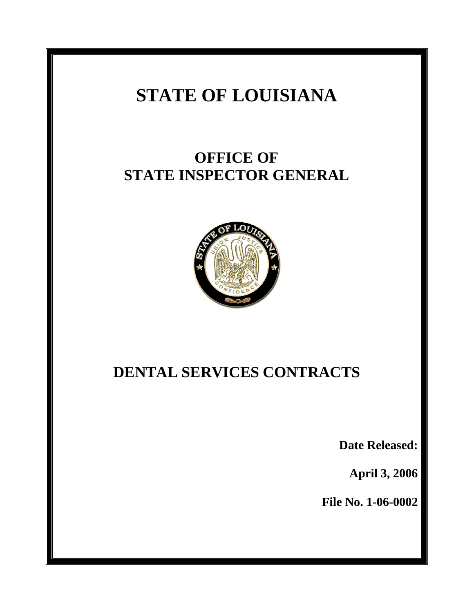# **STATE OF LOUISIANA**

# **OFFICE OF STATE INSPECTOR GENERAL**



# **DENTAL SERVICES CONTRACTS**

**Date Released:** 

**April 3, 2006** 

**File No. 1-06-0002**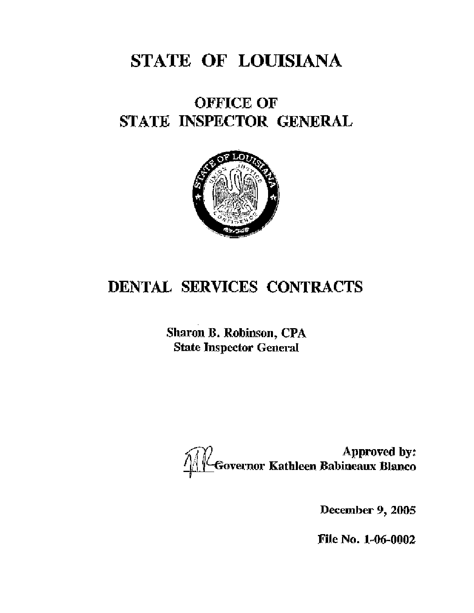# STATE OF LOUISIANA

# **OFFICE OF** STATE INSPECTOR GENERAL



# DENTAL SERVICES CONTRACTS

Sharon B. Robinson, CPA **State Inspector General** 

Approved by:<br>Governor Kathleen Babineaux Blanco

December 9, 2005

File No. 1-06-0002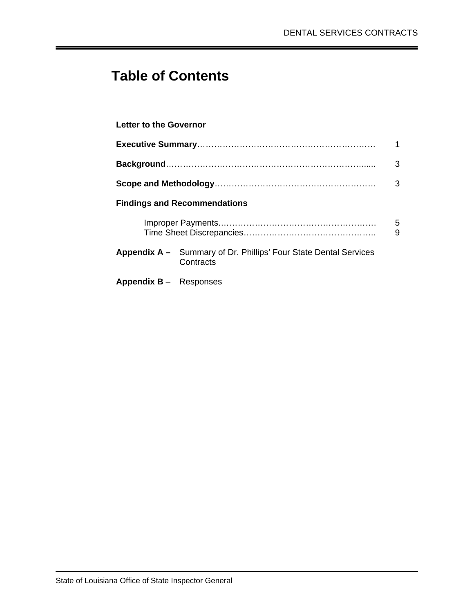## **Table of Contents**

### **Letter to the Governor**

|                                 |                                                                                      | 3      |  |  |  |  |  |  |
|---------------------------------|--------------------------------------------------------------------------------------|--------|--|--|--|--|--|--|
|                                 |                                                                                      | 3      |  |  |  |  |  |  |
|                                 | <b>Findings and Recommendations</b>                                                  |        |  |  |  |  |  |  |
|                                 |                                                                                      | 5<br>9 |  |  |  |  |  |  |
|                                 | <b>Appendix A –</b> Summary of Dr. Phillips' Four State Dental Services<br>Contracts |        |  |  |  |  |  |  |
| <b>Appendix B</b> $-$ Responses |                                                                                      |        |  |  |  |  |  |  |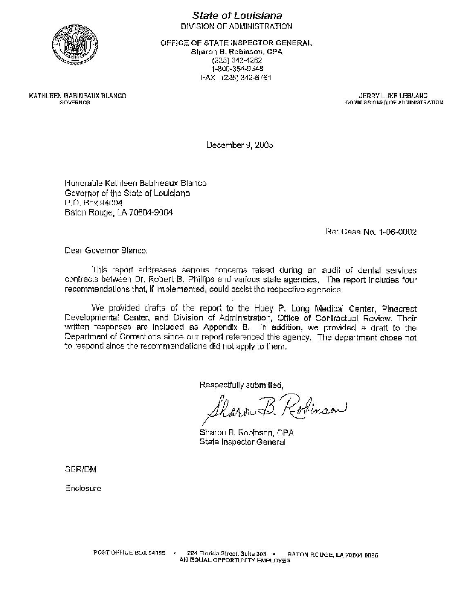

State of Louisiana DIVISION OF ADMINISTRATION

OFFICE OF STATE INSPECTOR GENERAL Sharon B. Robinson, CPA

(225) 342-4262 1-800-354-9548 FAX (225) 342-6761

KATHLEEN BABINEAUX BLANCO GOVERNOR

JERRY LUKE LEBLANC COMMISSIONER OF ADMINISTRATION

December 9, 2005

Honorable Kathleen Babineaux Blanco Governor of the State of Louisiana P.O. Box 94004 Baton Rouge, LA 70804-9004

Re: Case No. 1-06-0002

Dear Governor Blanco:

This report addresses serious concerns raised during an audit of dental services contracts between Dr. Robert B. Phillips and various state agencies. The report includes four recommendations that, if implemented, could assist the respective agencies.

We provided drafts of the report to the Huey P. Long Medical Center, Pinecrest Developmental Center, and Division of Administration, Office of Contractual Review. Their written responses are included as Appendix B. In addition, we provided a draft to the Department of Corrections since our report referenced this agency. The department chose not to respond since the recommendations did not apply to them.

Respectfully submitted,

Charn B. Robinson

Sharon B. Robinson, CPA State Inspector General

SBR/DM

Enclosure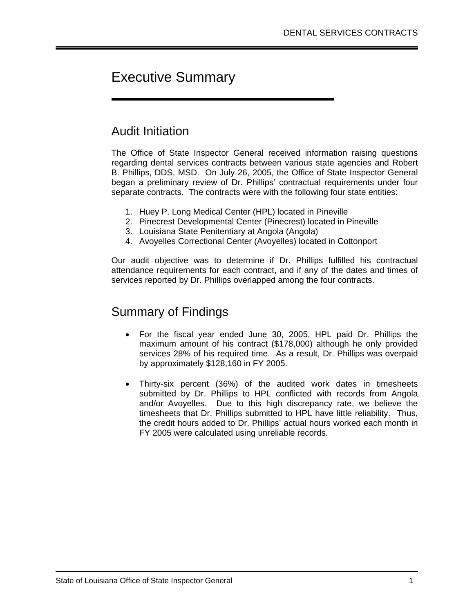## Executive Summary

### Audit Initiation

I

The Office of State Inspector General received information raising questions regarding dental services contracts between various state agencies and Robert B. Phillips, DDS, MSD. On July 26, 2005, the Office of State Inspector General began a preliminary review of Dr. Phillips' contractual requirements under four separate contracts. The contracts were with the following four state entities:

- 1. Huey P. Long Medical Center (HPL) located in Pineville
- 2. Pinecrest Developmental Center (Pinecrest) located in Pineville
- 3. Louisiana State Penitentiary at Angola (Angola)
- 4. Avoyelles Correctional Center (Avoyelles) located in Cottonport

Our audit objective was to determine if Dr. Phillips fulfilled his contractual attendance requirements for each contract, and if any of the dates and times of services reported by Dr. Phillips overlapped among the four contracts.

### Summary of Findings

- For the fiscal year ended June 30, 2005, HPL paid Dr. Phillips the maximum amount of his contract (\$178,000) although he only provided services 28% of his required time. As a result, Dr. Phillips was overpaid by approximately \$128,160 in FY 2005.
- Thirty-six percent (36%) of the audited work dates in timesheets submitted by Dr. Phillips to HPL conflicted with records from Angola and/or Avoyelles. Due to this high discrepancy rate, we believe the timesheets that Dr. Phillips submitted to HPL have little reliability. Thus, the credit hours added to Dr. Phillips' actual hours worked each month in FY 2005 were calculated using unreliable records.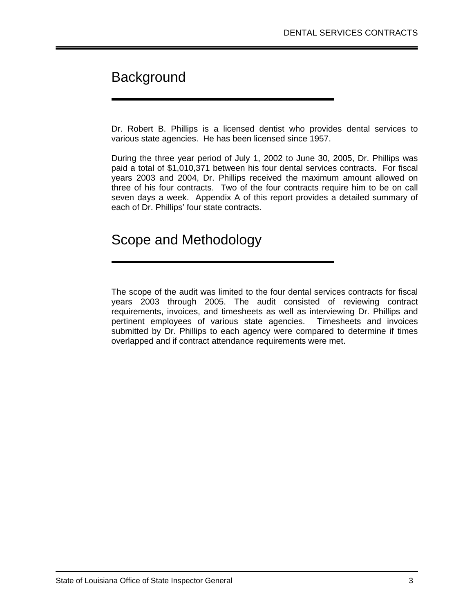## **Background**

Dr. Robert B. Phillips is a licensed dentist who provides dental services to various state agencies. He has been licensed since 1957.

During the three year period of July 1, 2002 to June 30, 2005, Dr. Phillips was paid a total of \$1,010,371 between his four dental services contracts. For fiscal years 2003 and 2004, Dr. Phillips received the maximum amount allowed on three of his four contracts. Two of the four contracts require him to be on call seven days a week. Appendix A of this report provides a detailed summary of each of Dr. Phillips' four state contracts.

## Scope and Methodology

The scope of the audit was limited to the four dental services contracts for fiscal years 2003 through 2005. The audit consisted of reviewing contract requirements, invoices, and timesheets as well as interviewing Dr. Phillips and pertinent employees of various state agencies. Timesheets and invoices submitted by Dr. Phillips to each agency were compared to determine if times overlapped and if contract attendance requirements were met.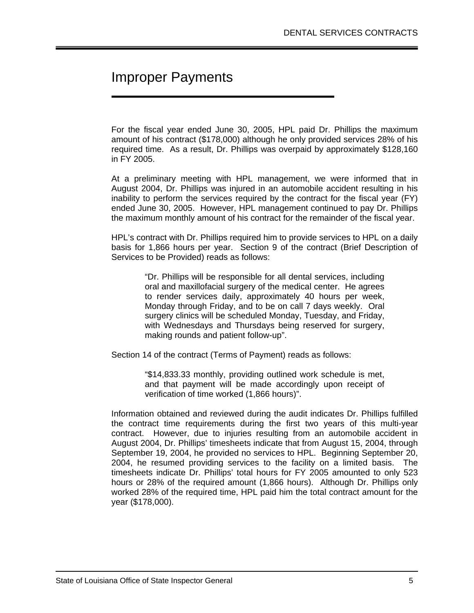## Improper Payments

For the fiscal year ended June 30, 2005, HPL paid Dr. Phillips the maximum amount of his contract (\$178,000) although he only provided services 28% of his required time. As a result, Dr. Phillips was overpaid by approximately \$128,160 in FY 2005.

At a preliminary meeting with HPL management, we were informed that in August 2004, Dr. Phillips was injured in an automobile accident resulting in his inability to perform the services required by the contract for the fiscal year (FY) ended June 30, 2005. However, HPL management continued to pay Dr. Phillips the maximum monthly amount of his contract for the remainder of the fiscal year.

HPL's contract with Dr. Phillips required him to provide services to HPL on a daily basis for 1,866 hours per year. Section 9 of the contract (Brief Description of Services to be Provided) reads as follows:

> "Dr. Phillips will be responsible for all dental services, including oral and maxillofacial surgery of the medical center. He agrees to render services daily, approximately 40 hours per week, Monday through Friday, and to be on call 7 days weekly. Oral surgery clinics will be scheduled Monday, Tuesday, and Friday, with Wednesdays and Thursdays being reserved for surgery, making rounds and patient follow-up".

Section 14 of the contract (Terms of Payment) reads as follows:

"\$14,833.33 monthly, providing outlined work schedule is met, and that payment will be made accordingly upon receipt of verification of time worked (1,866 hours)".

Information obtained and reviewed during the audit indicates Dr. Phillips fulfilled the contract time requirements during the first two years of this multi-year contract. However, due to injuries resulting from an automobile accident in August 2004, Dr. Phillips' timesheets indicate that from August 15, 2004, through September 19, 2004, he provided no services to HPL. Beginning September 20, 2004, he resumed providing services to the facility on a limited basis. The timesheets indicate Dr. Phillips' total hours for FY 2005 amounted to only 523 hours or 28% of the required amount (1,866 hours). Although Dr. Phillips only worked 28% of the required time, HPL paid him the total contract amount for the year (\$178,000).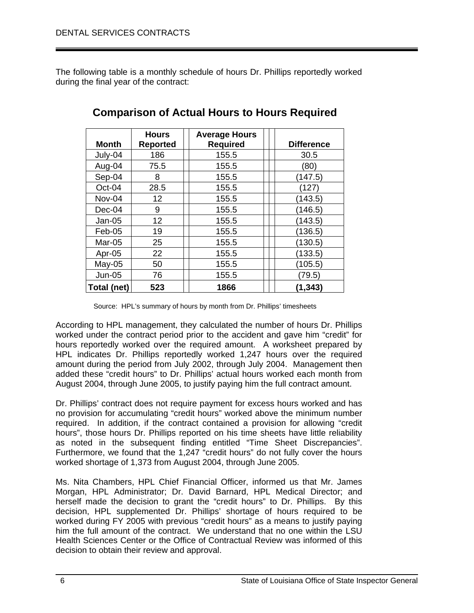The following table is a monthly schedule of hours Dr. Phillips reportedly worked during the final year of the contract:

| Month       | <b>Hours</b><br><b>Reported</b> | <b>Average Hours</b><br><b>Required</b> | <b>Difference</b> |
|-------------|---------------------------------|-----------------------------------------|-------------------|
| July-04     | 186                             | 155.5                                   | 30.5              |
| Aug-04      | 75.5                            | 155.5                                   | (80)              |
| Sep-04      | 8                               | 155.5                                   | (147.5)           |
| Oct-04      | 28.5                            | 155.5                                   | (127)             |
| Nov-04      | 12                              | 155.5                                   | (143.5)           |
| Dec-04      | 9                               | 155.5                                   | (146.5)           |
| $Jan-05$    | 12                              | 155.5                                   | (143.5)           |
| Feb-05      | 19                              | 155.5                                   | (136.5)           |
| Mar-05      | 25                              | 155.5                                   | (130.5)           |
| Apr-05      | 22                              | 155.5                                   | (133.5)           |
| $May-05$    | 50                              | 155.5                                   | (105.5)           |
| $Jun-05$    | 76                              | 155.5                                   | (79.5)            |
| Total (net) | 523                             | 1866                                    | (1, 343)          |

### **Comparison of Actual Hours to Hours Required**

Source: HPL's summary of hours by month from Dr. Phillips' timesheets

According to HPL management, they calculated the number of hours Dr. Phillips worked under the contract period prior to the accident and gave him "credit" for hours reportedly worked over the required amount. A worksheet prepared by HPL indicates Dr. Phillips reportedly worked 1,247 hours over the required amount during the period from July 2002, through July 2004. Management then added these "credit hours" to Dr. Phillips' actual hours worked each month from August 2004, through June 2005, to justify paying him the full contract amount.

Dr. Phillips' contract does not require payment for excess hours worked and has no provision for accumulating "credit hours" worked above the minimum number required. In addition, if the contract contained a provision for allowing "credit hours", those hours Dr. Phillips reported on his time sheets have little reliability as noted in the subsequent finding entitled "Time Sheet Discrepancies". Furthermore, we found that the 1,247 "credit hours" do not fully cover the hours worked shortage of 1,373 from August 2004, through June 2005.

Ms. Nita Chambers, HPL Chief Financial Officer, informed us that Mr. James Morgan, HPL Administrator; Dr. David Barnard, HPL Medical Director; and herself made the decision to grant the "credit hours" to Dr. Phillips. By this decision, HPL supplemented Dr. Phillips' shortage of hours required to be worked during FY 2005 with previous "credit hours" as a means to justify paying him the full amount of the contract. We understand that no one within the LSU Health Sciences Center or the Office of Contractual Review was informed of this decision to obtain their review and approval.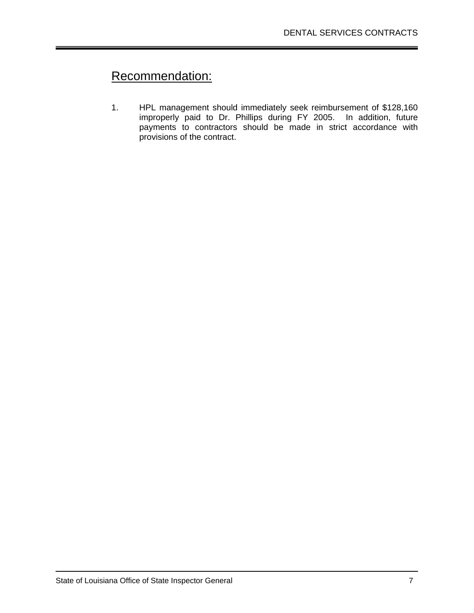## Recommendation:

1. HPL management should immediately seek reimbursement of \$128,160 improperly paid to Dr. Phillips during FY 2005. In addition, future payments to contractors should be made in strict accordance with provisions of the contract.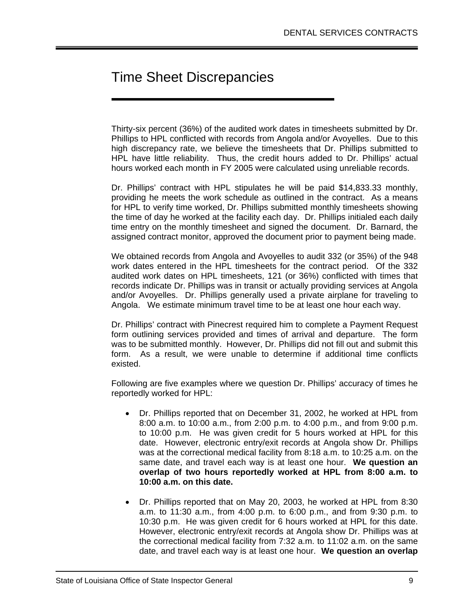## Time Sheet Discrepancies

Thirty-six percent (36%) of the audited work dates in timesheets submitted by Dr. Phillips to HPL conflicted with records from Angola and/or Avoyelles. Due to this high discrepancy rate, we believe the timesheets that Dr. Phillips submitted to HPL have little reliability. Thus, the credit hours added to Dr. Phillips' actual hours worked each month in FY 2005 were calculated using unreliable records.

Dr. Phillips' contract with HPL stipulates he will be paid \$14,833.33 monthly, providing he meets the work schedule as outlined in the contract. As a means for HPL to verify time worked, Dr. Phillips submitted monthly timesheets showing the time of day he worked at the facility each day. Dr. Phillips initialed each daily time entry on the monthly timesheet and signed the document. Dr. Barnard, the assigned contract monitor, approved the document prior to payment being made.

We obtained records from Angola and Avoyelles to audit 332 (or 35%) of the 948 work dates entered in the HPL timesheets for the contract period. Of the 332 audited work dates on HPL timesheets, 121 (or 36%) conflicted with times that records indicate Dr. Phillips was in transit or actually providing services at Angola and/or Avoyelles. Dr. Phillips generally used a private airplane for traveling to Angola. We estimate minimum travel time to be at least one hour each way.

Dr. Phillips' contract with Pinecrest required him to complete a Payment Request form outlining services provided and times of arrival and departure. The form was to be submitted monthly. However, Dr. Phillips did not fill out and submit this form. As a result, we were unable to determine if additional time conflicts existed.

Following are five examples where we question Dr. Phillips' accuracy of times he reportedly worked for HPL:

- Dr. Phillips reported that on December 31, 2002, he worked at HPL from 8:00 a.m. to 10:00 a.m., from 2:00 p.m. to 4:00 p.m., and from 9:00 p.m. to 10:00 p.m. He was given credit for 5 hours worked at HPL for this date. However, electronic entry/exit records at Angola show Dr. Phillips was at the correctional medical facility from 8:18 a.m. to 10:25 a.m. on the same date, and travel each way is at least one hour. **We question an overlap of two hours reportedly worked at HPL from 8:00 a.m. to 10:00 a.m. on this date.**
- Dr. Phillips reported that on May 20, 2003, he worked at HPL from 8:30 a.m. to 11:30 a.m., from 4:00 p.m. to 6:00 p.m., and from 9:30 p.m. to 10:30 p.m. He was given credit for 6 hours worked at HPL for this date. However, electronic entry/exit records at Angola show Dr. Phillips was at the correctional medical facility from 7:32 a.m. to 11:02 a.m. on the same date, and travel each way is at least one hour. **We question an overlap**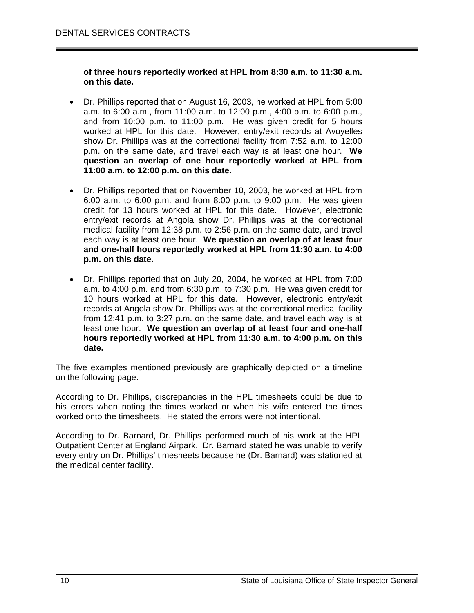#### **of three hours reportedly worked at HPL from 8:30 a.m. to 11:30 a.m. on this date.**

- Dr. Phillips reported that on August 16, 2003, he worked at HPL from 5:00 a.m. to 6:00 a.m., from 11:00 a.m. to 12:00 p.m., 4:00 p.m. to 6:00 p.m., and from 10:00 p.m. to 11:00 p.m. He was given credit for 5 hours worked at HPL for this date. However, entry/exit records at Avoyelles show Dr. Phillips was at the correctional facility from 7:52 a.m. to 12:00 p.m. on the same date, and travel each way is at least one hour. **We question an overlap of one hour reportedly worked at HPL from 11:00 a.m. to 12:00 p.m. on this date.**
- Dr. Phillips reported that on November 10, 2003, he worked at HPL from 6:00 a.m. to 6:00 p.m. and from 8:00 p.m. to 9:00 p.m. He was given credit for 13 hours worked at HPL for this date. However, electronic entry/exit records at Angola show Dr. Phillips was at the correctional medical facility from 12:38 p.m. to 2:56 p.m. on the same date, and travel each way is at least one hour. **We question an overlap of at least four and one-half hours reportedly worked at HPL from 11:30 a.m. to 4:00 p.m. on this date.**
- Dr. Phillips reported that on July 20, 2004, he worked at HPL from 7:00 a.m. to 4:00 p.m. and from 6:30 p.m. to 7:30 p.m. He was given credit for 10 hours worked at HPL for this date. However, electronic entry/exit records at Angola show Dr. Phillips was at the correctional medical facility from 12:41 p.m. to 3:27 p.m. on the same date, and travel each way is at least one hour. **We question an overlap of at least four and one-half hours reportedly worked at HPL from 11:30 a.m. to 4:00 p.m. on this date.**

The five examples mentioned previously are graphically depicted on a timeline on the following page.

According to Dr. Phillips, discrepancies in the HPL timesheets could be due to his errors when noting the times worked or when his wife entered the times worked onto the timesheets. He stated the errors were not intentional.

According to Dr. Barnard, Dr. Phillips performed much of his work at the HPL Outpatient Center at England Airpark. Dr. Barnard stated he was unable to verify every entry on Dr. Phillips' timesheets because he (Dr. Barnard) was stationed at the medical center facility.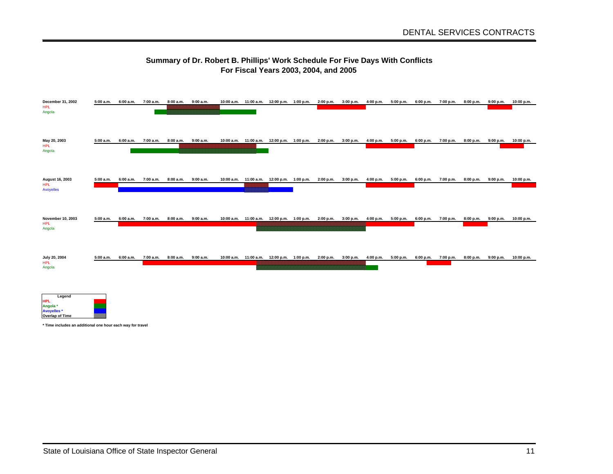#### **Summary of Dr. Robert B. Phillips' Work Schedule For Five Days With Conflicts For Fiscal Years 2003, 2004, and 2005**

| December 31, 2002<br><b>HPL</b><br>Angola                                 | 5:00 a.m. | 6:00 a.m. | 7:00 a.m.           |                               | 8:00 a.m. 9:00 a.m. | 10:00 a.m. 11:00 a.m. 12:00 p.m. 1:00 p.m.                     |  | 2:00 p.m. 3:00 p.m.                                                                                    | 4:00 p.m. | 5:00 p.m.                     |           | 6:00 p.m. 7:00 p.m. | 8:00 p.m. | 9:00 p.m.           | 10:00 p.m.               |
|---------------------------------------------------------------------------|-----------|-----------|---------------------|-------------------------------|---------------------|----------------------------------------------------------------|--|--------------------------------------------------------------------------------------------------------|-----------|-------------------------------|-----------|---------------------|-----------|---------------------|--------------------------|
| May 20, 2003<br><b>HPL</b><br>Angola                                      | 5:00 a.m. | 6:00 a.m. | 7:00 a.m.           | 8:00 a.m.                     | 9:00 a.m.           | 10:00 a.m. 11:00 a.m. 12:00 p.m. 1:00 p.m. 2:00 p.m.           |  | 3:00 p.m.                                                                                              |           | 4:00 p.m. 5:00 p.m. 6:00 p.m. |           | 7:00 p.m.           | 8:00 p.m. |                     | $9:00 p.m.$ $10:00 p.m.$ |
| August 16, 2003<br><b>HPL</b><br>Avoyelles                                | 5:00 a.m. |           | 6:00 a.m. 7:00 a.m. | 8:00 a.m.                     | 9:00 a.m.           | 10:00 a.m. 11:00 a.m. 12:00 p.m. 1:00 p.m. 2:00 p.m. 3:00 p.m. |  |                                                                                                        |           | 4:00 p.m. 5:00 p.m.           | 6:00 p.m. | 7:00 p.m.           | 8:00 p.m. | 9:00 p.m.           | 10:00 p.m.               |
| November 10, 2003<br><b>HPL</b><br>Angola                                 | 5:00 a.m. |           | 6:00 a.m. 7:00 a.m. |                               | 8:00 a.m. 9:00 a.m. |                                                                |  | 10:00 a.m. 11:00 a.m. 12:00 p.m. 1:00 p.m. 2:00 p.m. 3:00 p.m. 4:00 p.m. 5:00 p.m. 6:00 p.m. 7:00 p.m. |           |                               |           |                     |           | 8:00 p.m. 9:00 p.m. | 10:00 p.m.               |
| July 20, 2004<br><b>HPL</b><br>Angola                                     | 5:00 a.m. | 6:00 a.m. |                     | 7:00 a.m. 8:00 a.m. 9:00 a.m. |                     |                                                                |  | 10:00 a.m. 11:00 a.m. 12:00 p.m. 1:00 p.m. 2:00 p.m. 3:00 p.m.                                         |           | 4:00 p.m. 5:00 p.m.           |           | 6:00 p.m. 7:00 p.m. | 8:00 p.m. | 9:00 p.m.           | 10:00 p.m.               |
| Legend<br><b>HPL</b><br>Angola *<br>Avoyelles *<br><b>Overlap of Time</b> | mm        |           |                     |                               |                     |                                                                |  |                                                                                                        |           |                               |           |                     |           |                     |                          |

**\* Time includes an additional one hour each way for travel**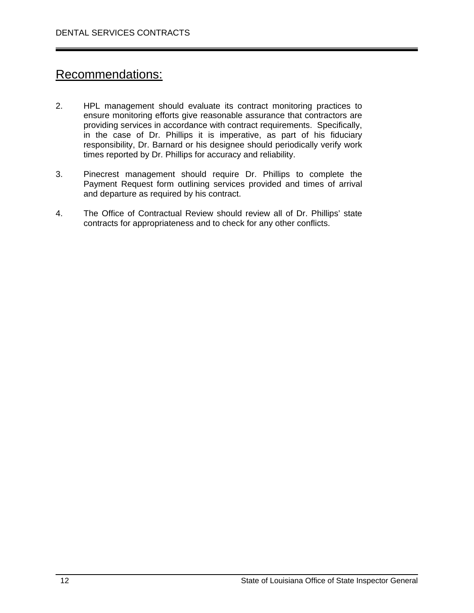### Recommendations:

- 2. HPL management should evaluate its contract monitoring practices to ensure monitoring efforts give reasonable assurance that contractors are providing services in accordance with contract requirements. Specifically, in the case of Dr. Phillips it is imperative, as part of his fiduciary responsibility, Dr. Barnard or his designee should periodically verify work times reported by Dr. Phillips for accuracy and reliability.
- 3. Pinecrest management should require Dr. Phillips to complete the Payment Request form outlining services provided and times of arrival and departure as required by his contract.
- 4. The Office of Contractual Review should review all of Dr. Phillips' state contracts for appropriateness and to check for any other conflicts.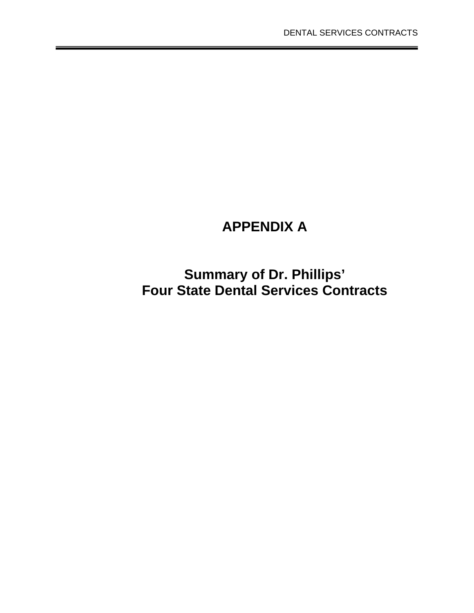## **APPENDIX A**

**Summary of Dr. Phillips' Four State Dental Services Contracts**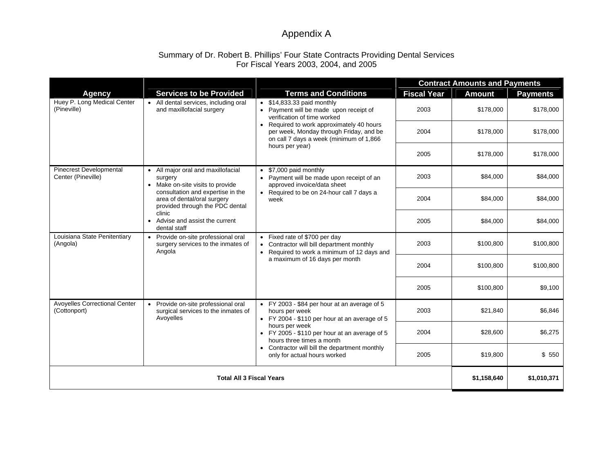### Appendix A

#### Summary of Dr. Robert B. Phillips' Four State Contracts Providing Dental Services For Fiscal Years 2003, 2004, and 2005

|                                                                                           |                                                                                                                                                                               |                                                                                                                                      | <b>Contract Amounts and Payments</b> |               |                 |  |  |
|-------------------------------------------------------------------------------------------|-------------------------------------------------------------------------------------------------------------------------------------------------------------------------------|--------------------------------------------------------------------------------------------------------------------------------------|--------------------------------------|---------------|-----------------|--|--|
| <b>Agency</b>                                                                             | <b>Services to be Provided</b>                                                                                                                                                | <b>Terms and Conditions</b>                                                                                                          | <b>Fiscal Year</b>                   | <b>Amount</b> | <b>Payments</b> |  |  |
| Huey P. Long Medical Center<br>(Pineville)                                                | • All dental services, including oral<br>and maxillofacial surgery                                                                                                            | $\bullet$ \$14,833.33 paid monthly<br>• Payment will be made upon receipt of<br>verification of time worked                          | 2003                                 | \$178,000     | \$178,000       |  |  |
|                                                                                           |                                                                                                                                                                               | • Required to work approximately 40 hours<br>per week, Monday through Friday, and be<br>on call 7 days a week (minimum of 1,866      | 2004                                 | \$178,000     | \$178,000       |  |  |
|                                                                                           |                                                                                                                                                                               | hours per year)                                                                                                                      | 2005                                 | \$178,000     | \$178,000       |  |  |
| <b>Pinecrest Developmental</b><br>Center (Pineville)<br>surgery<br>clinic<br>dental staff | • All major oral and maxillofacial<br>• Make on-site visits to provide<br>consultation and expertise in the<br>area of dental/oral surgery<br>provided through the PDC dental | \$7,000 paid monthly<br>• Payment will be made upon receipt of an<br>approved invoice/data sheet                                     | 2003                                 | \$84,000      | \$84,000        |  |  |
|                                                                                           |                                                                                                                                                                               | • Required to be on 24-hour call 7 days a<br>week                                                                                    | 2004                                 | \$84,000      | \$84,000        |  |  |
|                                                                                           | • Advise and assist the current                                                                                                                                               |                                                                                                                                      | 2005                                 | \$84,000      | \$84,000        |  |  |
| Louisiana State Penitentiary<br>(Angola)                                                  | • Provide on-site professional oral<br>surgery services to the inmates of<br>Angola                                                                                           | • Fixed rate of \$700 per day<br>Contractor will bill department monthly<br>$\bullet$<br>• Required to work a minimum of 12 days and | 2003                                 | \$100,800     | \$100,800       |  |  |
|                                                                                           |                                                                                                                                                                               | a maximum of 16 days per month                                                                                                       | 2004                                 | \$100,800     | \$100,800       |  |  |
|                                                                                           |                                                                                                                                                                               |                                                                                                                                      | 2005                                 | \$100,800     | \$9,100         |  |  |
| Avoyelles Correctional Center<br>(Cottonport)                                             | Provide on-site professional oral<br>$\bullet$<br>surgical services to the inmates of<br>Avoyelles                                                                            | • FY 2003 - \$84 per hour at an average of 5<br>hours per week<br>• FY 2004 - \$110 per hour at an average of 5                      | 2003                                 | \$21,840      | \$6,846         |  |  |
|                                                                                           |                                                                                                                                                                               | hours per week<br>• FY 2005 - \$110 per hour at an average of 5<br>hours three times a month                                         | 2004                                 | \$28,600      | \$6,275         |  |  |
|                                                                                           |                                                                                                                                                                               | • Contractor will bill the department monthly<br>only for actual hours worked                                                        | 2005                                 | \$19,800      | \$550           |  |  |
|                                                                                           | \$1,158,640                                                                                                                                                                   | \$1,010,371                                                                                                                          |                                      |               |                 |  |  |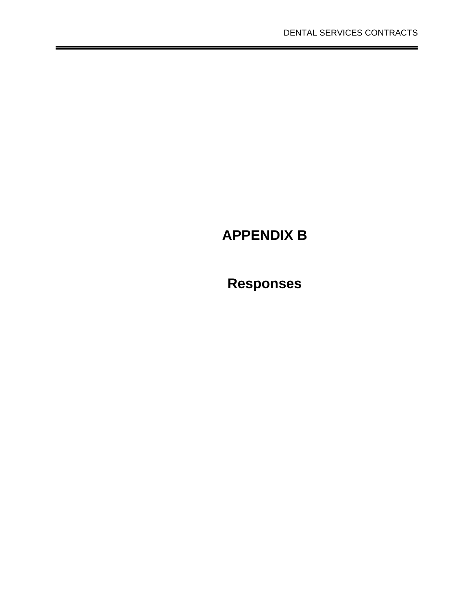## **APPENDIX B**

# **Responses**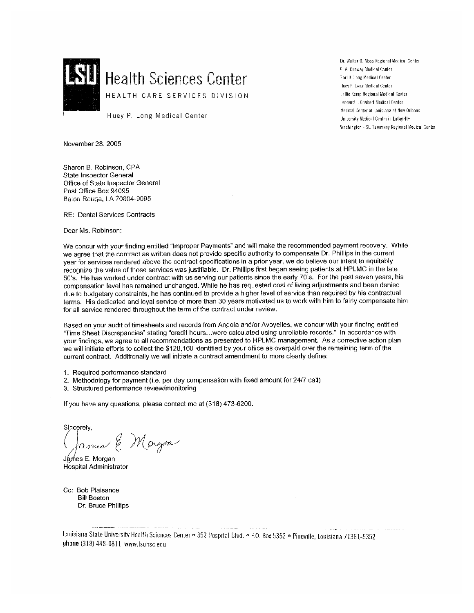

Dr. Walter O. Moss Regional Medical Center E. A. Conway Medical Center Earl K. Long Medical Center Huey P. Long Medical Center Lallie Kemp Regional Medical Center Leonard J. Chabert Medical Center Medical Center of Louisiana at New Orleans University Medical Center in Lafavette Washington - St. Tammany Regional Medical Center

Huey P. Long Medical Center

November 28, 2005

Sharon B. Robinson, CPA State Inspector General Office of State Inspector General Post Office Box 94095 Baton Rouge, LA 70804-9095

RE: Dental Services Contracts

Dear Ms. Robinson:

We concur with your finding entitled "Improper Payments" and will make the recommended payment recovery. While we agree that the contract as written does not provide specific authority to compensate Dr. Phillips in the current year for services rendered above the contract specifications in a prior year, we do believe our intent to equitably recognize the value of those services was justifiable. Dr. Phillips first began seeing patients at HPLMC in the late 50's. He has worked under contract with us serving our patients since the early 70's. For the past seven years, his compensation level has remained unchanged. While he has requested cost of living adjustments and been denied due to budgetary constraints, he has continued to provide a higher level of service than required by his contractual terms. His dedicated and loyal service of more than 30 years motivated us to work with him to fairly compensate him for all service rendered throughout the term of the contract under review.

Based on your audit of timesheets and records from Angola and/or Avoyelles, we concur with your finding entitled "Time Sheet Discrepancies" stating "credit hours...were calculated using unreliable records." In accordance with your findings, we agree to all recommendations as presented to HPLMC management. As a corrective action plan we will initiate efforts to collect the \$128,160 identified by your office as overpaid over the remaining term of the current contract. Additionally we will initiate a contract amendment to more clearly define:

- 1. Required performance standard
- 2. Methodology for payment (i.e. per day compensation with fixed amount for 24/7 call)
- 3. Structured performance review/monitoring

If you have any questions, please contact me at (318) 473-6200.

Sincerely,

amed & Margon

Jámes E. Morgan **Hospital Administrator** 

Cc: Bob Plaisance **Bill Boston** Dr. Bruce Phillips

Louisiana State University Health Sciences Center . 352 Hospital Blvd. . P.O. Box 5352 . Pineville, Louisiana 71361-5352 phone (318) 448-0811 www.lsuhsc.edu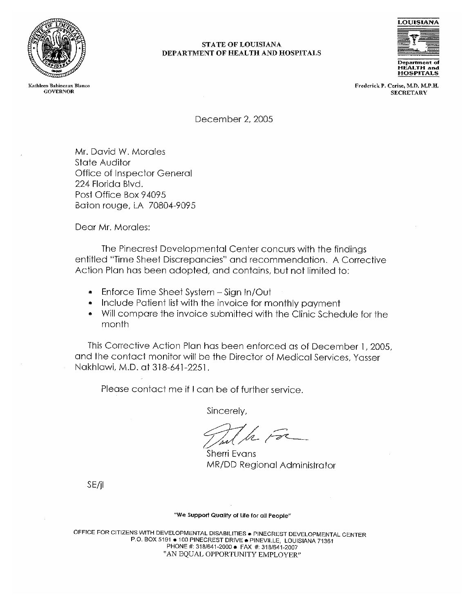

Kathleen Babineaux Blanco **GOVERNOR** 

#### **STATE OF LOUISIANA** DEPARTMENT OF HEALTH AND HOSPITALS



Frederick P. Cerise, M.D. M.P.H. **SECRETARY** 

December 2, 2005

Mr. David W. Morales State Auditor Office of Inspector General 224 Florida Blvd. Post Office Box 94095 Baton rouge, LA 70804-9095

Dear Mr. Morales:

The Pinecrest Developmental Center concurs with the findings entitled "Time Sheet Discrepancies" and recommendation. A Corrective Action Plan has been adopted, and contains, but not limited to:

- Enforce Time Sheet System Sign In/Out
- Include Patient list with the invoice for monthly payment
- Will compare the invoice submitted with the Clinic Schedule for the month

This Corrective Action Plan has been enforced as of December 1, 2005, and the contact monitor will be the Director of Medical Services, Yasser Nakhlawi, M.D. at 318-641-2251.

Please contact me if I can be of further service.

Sincerely,

Sherri Evans MR/DD Regional Administrator

SE/jl

#### "We Support Quality of Life for all People"

OFFICE FOR CITIZENS WITH DEVELOPMENTAL DISABILITIES . PINECREST DEVELOPMENTAL CENTER P.O. BOX 5191 ● 100 PINECREST DRIVE ● PINEVILLE, LOUISIANA 71361 PHONE #: 318/641-2000 + FAX #: 318/641-2007 "AN EQUAL OPPORTUNITY EMPLOYER"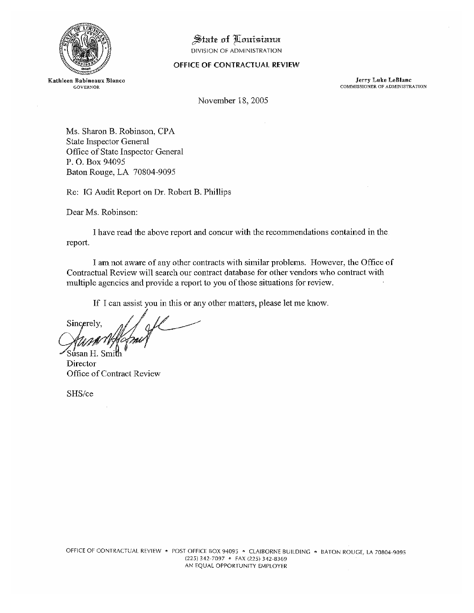

### State of Louisiana

DIVISION OF ADMINISTRATION

#### OFFICE OF CONTRACTUAL REVIEW

Kathleen Babineaux Blanco **GOVERNOR** 

**Jerry Luke LeBlanc** COMMISSIONER OF ADMINISTRATION

November 18, 2005

Ms. Sharon B. Robinson, CPA State Inspector General Office of State Inspector General P. O. Box 94095 Baton Rouge, LA 70804-9095

Re: IG Audit Report on Dr. Robert B. Phillips

Dear Ms. Robinson:

I have read the above report and concur with the recommendations contained in the report.

I am not aware of any other contracts with similar problems. However, the Office of Contractual Review will search our contract database for other vendors who contract with multiple agencies and provide a report to you of those situations for review.

If I can assist you in this or any other matters, please let me know.

Sincerely, Súsan H.

Director Office of Contract Review

SHS/ce